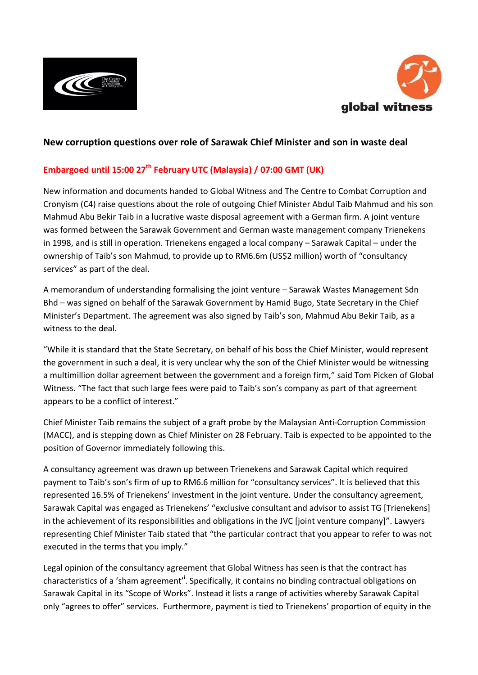



# **New corruption questions over role of Sarawak Chief Minister and son in waste deal**

# **Embargoed until 15:00 27th February UTC (Malaysia) / 07:00 GMT (UK)**

New information and documents handed to Global Witness and The Centre to Combat Corruption and Cronyism (C4) raise questions about the role of outgoing Chief Minister Abdul Taib Mahmud and his son Mahmud Abu Bekir Taib in a lucrative waste disposal agreement with a German firm. A joint venture was formed between the Sarawak Government and German waste management company Trienekens in 1998, and is still in operation. Trienekens engaged a local company – Sarawak Capital – under the ownership of Taib's son Mahmud, to provide up to RM6.6m (US\$2 million) worth of "consultancy services" as part of the deal.

A memorandum of understanding formalising the joint venture – Sarawak Wastes Management Sdn Bhd – was signed on behalf of the Sarawak Government by Hamid Bugo, State Secretary in the Chief Minister's Department. The agreement was also signed by Taib's son, Mahmud Abu Bekir Taib, as a witness to the deal.

"While it is standard that the State Secretary, on behalf of his boss the Chief Minister, would represent the government in such a deal, it is very unclear why the son of the Chief Minister would be witnessing a multimillion dollar agreement between the government and a foreign firm," said Tom Picken of Global Witness. "The fact that such large fees were paid to Taib's son's company as part of that agreement appears to be a conflict of interest."

Chief Minister Taib remains the subject of a graft probe by the Malaysian Anti-Corruption Commission (MACC), and is stepping down as Chief Minister on 28 February. Taib is expected to be appointed to the position of Governor immediately following this.

A consultancy agreement was drawn up between Trienekens and Sarawak Capital which required payment to Taib's son's firm of up to RM6.6 million for "consultancy services". It is believed that this represented 16.5% of Trienekens' investment in the joint venture. Under the consultancy agreement, Sarawak Capital was engaged as Trienekens' "exclusive consultant and advisor to assist TG [Trienekens] in the achievement of its responsibilities and obligations in the JVC [joint venture company]". Lawyers representing Chief Minister Taib stated that "the particular contract that you appear to refer to was not executed in the terms that you imply."

Legal opinion of the consultancy agreement that Global Witness has seen is that the contract has characteristics of a 'sham agreement'<sup>i</sup>. Specifically, it contains no binding contractual obligations on Sarawak Capital in its "Scope of Works". Instead it lists a range of activities whereby Sarawak Capital only "agrees to offer" services. Furthermore, payment is tied to Trienekens' proportion of equity in the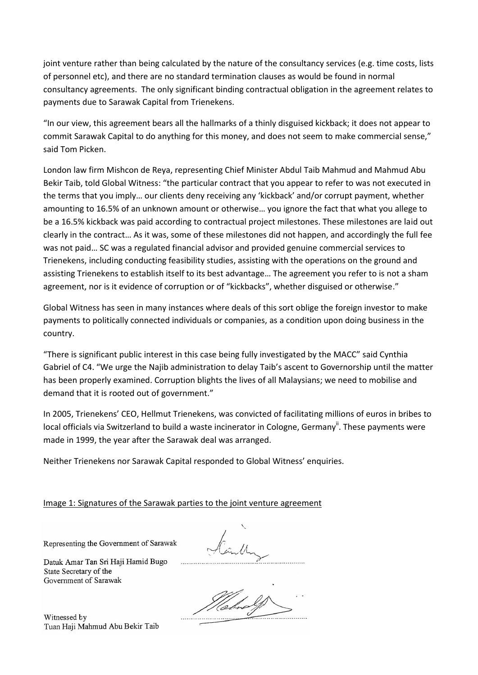joint venture rather than being calculated by the nature of the consultancy services (e.g. time costs, lists of personnel etc), and there are no standard termination clauses as would be found in normal consultancy agreements. The only significant binding contractual obligation in the agreement relates to payments due to Sarawak Capital from Trienekens.

"In our view, this agreement bears all the hallmarks of a thinly disguised kickback; it does not appear to commit Sarawak Capital to do anything for this money, and does not seem to make commercial sense," said Tom Picken.

London law firm Mishcon de Reya, representing Chief Minister Abdul Taib Mahmud and Mahmud Abu Bekir Taib, told Global Witness: "the particular contract that you appear to refer to was not executed in the terms that you imply… our clients deny receiving any 'kickback' and/or corrupt payment, whether amounting to 16.5% of an unknown amount or otherwise… you ignore the fact that what you allege to be a 16.5% kickback was paid according to contractual project milestones. These milestones are laid out clearly in the contract… As it was, some of these milestones did not happen, and accordingly the full fee was not paid… SC was a regulated financial advisor and provided genuine commercial services to Trienekens, including conducting feasibility studies, assisting with the operations on the ground and assisting Trienekens to establish itself to its best advantage… The agreement you refer to is not a sham agreement, nor is it evidence of corruption or of "kickbacks", whether disguised or otherwise."

Global Witness has seen in many instances where deals of this sort oblige the foreign investor to make payments to politically connected individuals or companies, as a condition upon doing business in the country.

"There is significant public interest in this case being fully investigated by the MACC" said Cynthia Gabriel of C4. "We urge the Najib administration to delay Taib's ascent to Governorship until the matter has been properly examined. Corruption blights the lives of all Malaysians; we need to mobilise and demand that it is rooted out of government."

In 2005, Trienekens' CEO, Hellmut Trienekens, was convicted of facilitating millions of euros in bribes to local officials via Switzerland to build a waste incinerator in Cologne, Germany<sup>ii</sup>. These payments were made in 1999, the year after the Sarawak deal was arranged.

Neither Trienekens nor Sarawak Capital responded to Global Witness' enquiries.

Image 1: Signatures of the Sarawak parties to the joint venture agreement

Representing the Government of Sarawak

Datuk Amar Tan Sri Haji Hamid Bugo State Secretary of the Government of Sarawak

Witnessed by Tuan Haji Mahmud Abu Bekir Taib